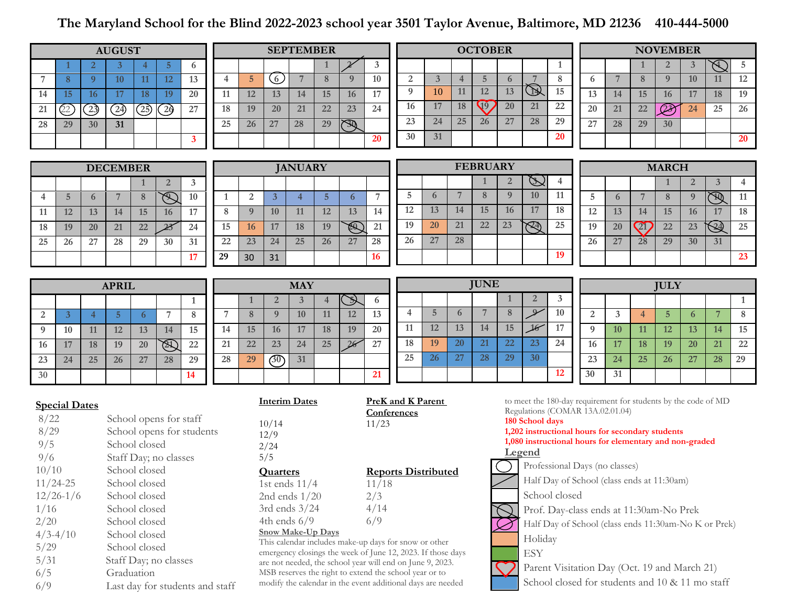## **The Maryland School for the Blind 2022-2023 school year 3501 Taylor Avenue, Baltimore, MD 21236 410-444-5000**

| <b>AUGUST</b>                                                                                                                                       |                |                                   |                                 |                |                |              |                                                                              | <b>SEPTEMBER</b> |                                                                                                                          |                         |                |              |                                                                                                  | <b>OCTOBER</b>   |                            |                                  |                |                |                                                                                                                                                                               |                                                 | <b>NOVEMBER</b> |                 |                 |                |                  |                          |            |  |
|-----------------------------------------------------------------------------------------------------------------------------------------------------|----------------|-----------------------------------|---------------------------------|----------------|----------------|--------------|------------------------------------------------------------------------------|------------------|--------------------------------------------------------------------------------------------------------------------------|-------------------------|----------------|--------------|--------------------------------------------------------------------------------------------------|------------------|----------------------------|----------------------------------|----------------|----------------|-------------------------------------------------------------------------------------------------------------------------------------------------------------------------------|-------------------------------------------------|-----------------|-----------------|-----------------|----------------|------------------|--------------------------|------------|--|
|                                                                                                                                                     |                | $\overline{2}$                    | 3                               | $\overline{4}$ | 5              | 6            |                                                                              |                  |                                                                                                                          |                         | 1              | $\mathbf{v}$ | 3                                                                                                |                  |                            |                                  |                |                |                                                                                                                                                                               | 1                                               |                 |                 |                 | $\overline{2}$ | $\mathbf{3}$     | Æ                        | $\sqrt{5}$ |  |
| $\overline{7}$                                                                                                                                      | 8              | $\overline{9}$                    | 10 <sup>°</sup>                 | 11             | 12             | 13           | $\overline{4}$                                                               | 5                | $\circ$                                                                                                                  | $\overline{7}$          | 8              | $\mathbf{Q}$ | 10                                                                                               | 2                |                            | $\overline{3}$<br>$\overline{4}$ | $\overline{5}$ | 6              | 7                                                                                                                                                                             | $\bf 8$                                         | 6               | $7\phantom{.0}$ | 8               | 9              | 10               | 11                       | 12         |  |
| 14                                                                                                                                                  | 15             | 16                                | 17                              | 18             | 19             | 20           | 11                                                                           | 12               | 13                                                                                                                       | 14                      | 15             | 16           | 17                                                                                               | $\boldsymbol{Q}$ |                            | 11<br>10                         | 12             | 13             | $\bigcirc$                                                                                                                                                                    | $\overline{15}$                                 | 13              | 14              | 15              | 16             | 17               | 18                       | 19         |  |
| 21                                                                                                                                                  | Q2             | $\begin{array}{c} 23 \end{array}$ | $\bigcirc$                      | (25)           | $\overline{2}$ | 27           | 18                                                                           | 19               | 20                                                                                                                       | 21                      | 22             | 23           | 24                                                                                               | 16               |                            | 18<br>17                         | $\mathbb{Q}$   | 20             | 21                                                                                                                                                                            | 22                                              | 20              | 21              | 22              | $\widehat{23}$ | 24               | 25                       | 26         |  |
| 28                                                                                                                                                  | 29             | 30                                | 31                              |                |                |              | 25                                                                           | 26               | 27                                                                                                                       | 28                      | 29             | $\mathbb{Z}$ |                                                                                                  | 23               |                            | 25<br>24                         | 26             | 27             | 28                                                                                                                                                                            | 29                                              | 27              | 28              | 29              | 30             |                  |                          |            |  |
|                                                                                                                                                     |                |                                   |                                 |                |                | 3            |                                                                              |                  |                                                                                                                          |                         |                |              | 20                                                                                               | 30               |                            | 31                               |                |                |                                                                                                                                                                               | <b>20</b>                                       |                 |                 |                 |                |                  |                          | 20         |  |
|                                                                                                                                                     |                |                                   |                                 |                |                |              |                                                                              |                  |                                                                                                                          |                         |                |              |                                                                                                  |                  |                            |                                  |                |                |                                                                                                                                                                               |                                                 |                 |                 |                 |                |                  |                          |            |  |
|                                                                                                                                                     |                |                                   | <b>DECEMBER</b>                 |                |                |              |                                                                              | <b>JANUARY</b>   |                                                                                                                          |                         |                |              |                                                                                                  |                  | <b>FEBRUARY</b>            |                                  |                |                |                                                                                                                                                                               |                                                 |                 | <b>MARCH</b>    |                 |                |                  |                          |            |  |
|                                                                                                                                                     |                |                                   |                                 | 1              | $\overline{2}$ | $\mathbf{3}$ |                                                                              |                  |                                                                                                                          |                         |                |              |                                                                                                  |                  |                            |                                  | 1              | $\overline{2}$ | Ď                                                                                                                                                                             | $\overline{4}$                                  |                 |                 |                 | $\mathbf{1}$   | $\overline{2}$   | 3                        | 4          |  |
| $\overline{4}$                                                                                                                                      | $\overline{5}$ | 6                                 | 7                               | $\, 8$         | $\bigotimes$   | 10           | $\mathbf{1}$                                                                 | $\overline{2}$   | $\overline{3}$                                                                                                           | $\overline{4}$          | 5 <sub>5</sub> | 6            | $\overline{7}$                                                                                   | 5                | 6                          | $7\phantom{.0}$                  | 8              | 9              | 10                                                                                                                                                                            | 11                                              | 5               | 6               | 7               | $\bf 8$        | $\boldsymbol{Q}$ | $\widetilde{\mathbb{P}}$ | 11         |  |
| 11                                                                                                                                                  | 12             | 13                                | 14                              | 15             | 16             | 17           | 8                                                                            | 9                | 10                                                                                                                       | 11                      | 12             | 13           | 14                                                                                               | 12               | 13                         | 14                               | 15             | 16             | 17                                                                                                                                                                            | 18                                              | 12              | 13              | 14              | 15             | 16               | 17                       | 18         |  |
| 18                                                                                                                                                  | 19             | 20                                | 21                              | 22             | 23             | 24           | 15                                                                           | 16               | 17                                                                                                                       | 18                      | 19             | E)           | 21                                                                                               | 19               | <b>20</b>                  | 21                               | 22             | 23             | $\mathbb{R}$                                                                                                                                                                  | 25                                              | 19              | 20              | $\overline{21}$ | 22             | 23               | $\Im$                    | 25         |  |
| 25                                                                                                                                                  | 26             | 27                                | 28                              | 29             | 30             | 31           | 22                                                                           | 23               | 24                                                                                                                       | 25                      | 26             | 27           | 28                                                                                               | 26               | 27                         | 28                               |                |                |                                                                                                                                                                               |                                                 | 26              | 27              | 28              | 29             | 30               | 31                       |            |  |
|                                                                                                                                                     |                |                                   |                                 |                |                | 17           | 29                                                                           | 30               | 31                                                                                                                       |                         |                |              | 16                                                                                               |                  |                            |                                  |                |                |                                                                                                                                                                               | 19                                              |                 |                 |                 |                |                  |                          | 23         |  |
|                                                                                                                                                     |                |                                   |                                 |                |                |              |                                                                              |                  |                                                                                                                          |                         |                |              |                                                                                                  | <b>JUNE</b>      |                            |                                  |                |                |                                                                                                                                                                               |                                                 |                 |                 |                 |                |                  |                          |            |  |
|                                                                                                                                                     |                |                                   | <b>APRIL</b>                    |                |                |              |                                                                              |                  |                                                                                                                          | <b>MAY</b>              |                |              |                                                                                                  |                  |                            |                                  |                | 1              | $\overline{2}$                                                                                                                                                                | 3                                               |                 |                 |                 | <b>JULY</b>    |                  |                          |            |  |
|                                                                                                                                                     |                |                                   |                                 |                |                | $\mathbf{1}$ |                                                                              |                  | $\overline{2}$                                                                                                           | $\overline{\mathbf{3}}$ | $\overline{4}$ | Þ            | 6                                                                                                | $\overline{4}$   | $\overline{5}$             | 6                                | $\overline{7}$ | 8              | $\mathcal{L}$                                                                                                                                                                 | 10                                              |                 |                 |                 |                |                  |                          | 1          |  |
| 2                                                                                                                                                   | 3              | $\overline{4}$                    | $\overline{5}$                  | 6              | $\overline{7}$ | $\bf 8$      | $\overline{7}$                                                               | 8                | 9                                                                                                                        | 10                      | 11             | 12           | 13                                                                                               | 11               | 12                         |                                  | 14             | 15             |                                                                                                                                                                               | 17                                              | 2               | 3               | $\overline{4}$  | $5\phantom{.}$ | 6                | 7                        | $\, 8$     |  |
| 9                                                                                                                                                   | 10             | 11                                | 12                              | 13             | 14             | 15           | 14                                                                           | 15               | 16                                                                                                                       | 17                      | 18             | 19           | 20                                                                                               |                  |                            | 13                               |                |                | 16                                                                                                                                                                            | 24                                              | 9               | 10              | 11              | 12             | 13               | 14                       | 15         |  |
| 16                                                                                                                                                  | 17             | 18                                | 19                              | 20             | $\circledR$    | $22\,$       | 21                                                                           | 22               | 23                                                                                                                       | 24                      | 25             | 26           | 27                                                                                               | 18               | 19                         | 20                               | 21             | 22             | 23                                                                                                                                                                            |                                                 | 16              | 17              | 18              | 19             | <b>20</b>        | 21                       | $22\,$     |  |
| 23                                                                                                                                                  | 24             | 25                                | 26                              | 27             | 28             | 29           | 28                                                                           | 29               | (30)                                                                                                                     | 31                      |                |              |                                                                                                  | 25               | 26                         | 27                               | 28             | 29             | 30                                                                                                                                                                            |                                                 | 23              | 24              | 25              | 26             | 27               | 28                       | 29         |  |
| 30                                                                                                                                                  |                |                                   |                                 |                |                | 14           |                                                                              |                  |                                                                                                                          |                         |                |              | 21                                                                                               |                  |                            |                                  |                |                |                                                                                                                                                                               | 12                                              | 30              | 31              |                 |                |                  |                          |            |  |
| <b>Special Dates</b><br>8/22<br>School opens for staff<br>8/29<br>School opens for students<br>9/5<br>School closed<br>9/6<br>Staff Day; no classes |                |                                   |                                 |                |                |              | <b>Interim Dates</b><br>Conferences<br>11/23<br>10/14<br>12/9<br>2/24<br>5/5 |                  |                                                                                                                          |                         |                |              | <b>PreK</b> and <b>K</b> Parent<br>Regulations (COMAR 13A.02.01.04)<br>180 School days<br>Legend |                  |                            |                                  |                |                | to meet the 180-day requirement for students by the code of MD<br>1,202 instructional hours for secondary students<br>1,080 instructional hours for elementary and non-graded |                                                 |                 |                 |                 |                |                  |                          |            |  |
| 10/10                                                                                                                                               |                |                                   | School closed                   |                |                |              |                                                                              |                  | <b>Quarters</b>                                                                                                          |                         |                |              |                                                                                                  |                  | <b>Reports Distributed</b> |                                  |                |                |                                                                                                                                                                               | Professional Days (no classes)                  |                 |                 |                 |                |                  |                          |            |  |
| $11/24 - 25$                                                                                                                                        |                |                                   | School closed                   |                |                |              |                                                                              |                  | 11/18<br>1st ends $11/4$                                                                                                 |                         |                |              |                                                                                                  |                  |                            |                                  |                |                | Half Day of School (class ends at 11:30am)                                                                                                                                    |                                                 |                 |                 |                 |                |                  |                          |            |  |
| $12/26-1/6$                                                                                                                                         |                |                                   | School closed                   |                |                |              |                                                                              |                  | 2/3<br>2nd ends $1/20$                                                                                                   |                         |                |              |                                                                                                  | School closed    |                            |                                  |                |                |                                                                                                                                                                               |                                                 |                 |                 |                 |                |                  |                          |            |  |
| 1/16                                                                                                                                                |                |                                   | School closed                   |                |                |              |                                                                              |                  | 4/14<br>3rd ends $3/24$<br>6/9                                                                                           |                         |                |              |                                                                                                  |                  |                            |                                  |                |                | Prof. Day-class ends at 11:30am-No Prek                                                                                                                                       |                                                 |                 |                 |                 |                |                  |                          |            |  |
| 2/20<br>$4/3 - 4/10$                                                                                                                                |                |                                   | School closed                   |                |                |              |                                                                              |                  | 4th ends $6/9$<br><b>Snow Make-Up Days</b>                                                                               |                         |                |              |                                                                                                  |                  |                            |                                  |                |                | Half Day of School (class ends 11:30am-No K or Prek)                                                                                                                          |                                                 |                 |                 |                 |                |                  |                          |            |  |
| 5/29                                                                                                                                                |                |                                   | School closed<br>School closed  |                |                |              |                                                                              |                  | This calendar includes make-up days for snow or other                                                                    |                         |                |              |                                                                                                  |                  | Holiday                    |                                  |                |                |                                                                                                                                                                               |                                                 |                 |                 |                 |                |                  |                          |            |  |
| 5/31                                                                                                                                                |                |                                   | Staff Day; no classes           |                |                |              |                                                                              |                  | emergency closings the week of June 12, 2023. If those days<br>are not needed, the school year will end on June 9, 2023. |                         |                |              |                                                                                                  |                  | <b>ESY</b>                 |                                  |                |                |                                                                                                                                                                               |                                                 |                 |                 |                 |                |                  |                          |            |  |
| 6/5                                                                                                                                                 |                |                                   | Graduation                      |                |                |              |                                                                              |                  | MSB reserves the right to extend the school year or to                                                                   |                         |                |              |                                                                                                  |                  |                            |                                  |                |                | Parent Visitation Day (Oct. 19 and March 21)                                                                                                                                  |                                                 |                 |                 |                 |                |                  |                          |            |  |
| 6/9                                                                                                                                                 |                |                                   | Last day for students and staff |                |                |              |                                                                              |                  | modify the calendar in the event additional days are needed                                                              |                         |                |              |                                                                                                  |                  |                            |                                  |                |                |                                                                                                                                                                               | School closed for students and 10 & 11 mo staff |                 |                 |                 |                |                  |                          |            |  |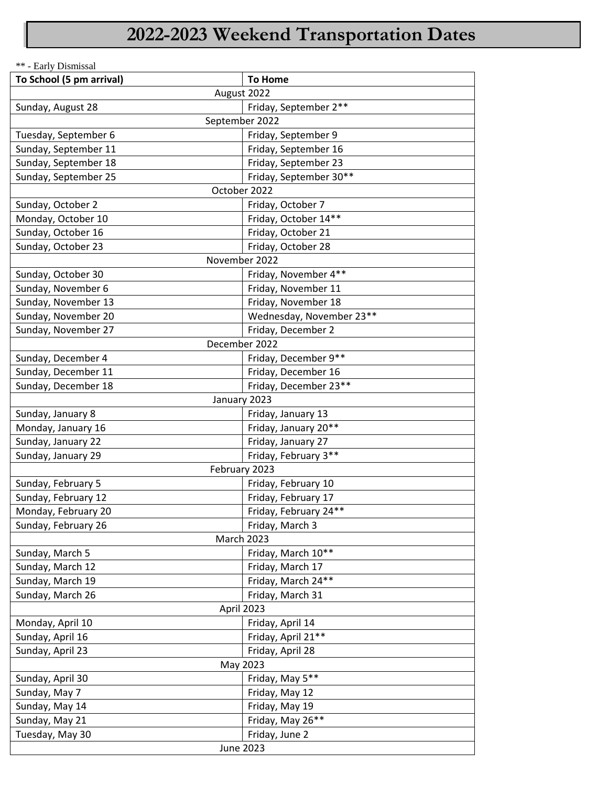## **2022-2023 Weekend Transportation Dates**

\*\* - Early Dismissal

| To School (5 pm arrival) | <b>To Home</b>           |  |  |  |  |  |  |  |  |
|--------------------------|--------------------------|--|--|--|--|--|--|--|--|
| August 2022              |                          |  |  |  |  |  |  |  |  |
| Sunday, August 28        | Friday, September 2**    |  |  |  |  |  |  |  |  |
| September 2022           |                          |  |  |  |  |  |  |  |  |
| Tuesday, September 6     | Friday, September 9      |  |  |  |  |  |  |  |  |
| Sunday, September 11     | Friday, September 16     |  |  |  |  |  |  |  |  |
| Sunday, September 18     | Friday, September 23     |  |  |  |  |  |  |  |  |
| Sunday, September 25     | Friday, September 30**   |  |  |  |  |  |  |  |  |
| October 2022             |                          |  |  |  |  |  |  |  |  |
| Sunday, October 2        | Friday, October 7        |  |  |  |  |  |  |  |  |
| Monday, October 10       | Friday, October 14**     |  |  |  |  |  |  |  |  |
| Sunday, October 16       | Friday, October 21       |  |  |  |  |  |  |  |  |
| Sunday, October 23       | Friday, October 28       |  |  |  |  |  |  |  |  |
| November 2022            |                          |  |  |  |  |  |  |  |  |
| Sunday, October 30       | Friday, November 4**     |  |  |  |  |  |  |  |  |
| Sunday, November 6       | Friday, November 11      |  |  |  |  |  |  |  |  |
| Sunday, November 13      | Friday, November 18      |  |  |  |  |  |  |  |  |
| Sunday, November 20      | Wednesday, November 23** |  |  |  |  |  |  |  |  |
| Sunday, November 27      | Friday, December 2       |  |  |  |  |  |  |  |  |
| December 2022            |                          |  |  |  |  |  |  |  |  |
| Sunday, December 4       | Friday, December 9**     |  |  |  |  |  |  |  |  |
| Sunday, December 11      | Friday, December 16      |  |  |  |  |  |  |  |  |
| Sunday, December 18      | Friday, December 23**    |  |  |  |  |  |  |  |  |
|                          | January 2023             |  |  |  |  |  |  |  |  |
| Sunday, January 8        | Friday, January 13       |  |  |  |  |  |  |  |  |
| Monday, January 16       | Friday, January 20**     |  |  |  |  |  |  |  |  |
| Sunday, January 22       | Friday, January 27       |  |  |  |  |  |  |  |  |
| Sunday, January 29       | Friday, February 3**     |  |  |  |  |  |  |  |  |
|                          | February 2023            |  |  |  |  |  |  |  |  |
| Sunday, February 5       | Friday, February 10      |  |  |  |  |  |  |  |  |
| Sunday, February 12      | Friday, February 17      |  |  |  |  |  |  |  |  |
| Monday, February 20      | Friday, February 24**    |  |  |  |  |  |  |  |  |
| Sunday, February 26      | Friday, March 3          |  |  |  |  |  |  |  |  |
| March 2023               |                          |  |  |  |  |  |  |  |  |
| Sunday, March 5          | Friday, March 10**       |  |  |  |  |  |  |  |  |
| Sunday, March 12         | Friday, March 17         |  |  |  |  |  |  |  |  |
| Sunday, March 19         | Friday, March 24**       |  |  |  |  |  |  |  |  |
| Sunday, March 26         | Friday, March 31         |  |  |  |  |  |  |  |  |
| April 2023               |                          |  |  |  |  |  |  |  |  |
| Monday, April 10         | Friday, April 14         |  |  |  |  |  |  |  |  |
| Sunday, April 16         | Friday, April 21**       |  |  |  |  |  |  |  |  |
| Sunday, April 23         | Friday, April 28         |  |  |  |  |  |  |  |  |
| May 2023                 |                          |  |  |  |  |  |  |  |  |
| Sunday, April 30         | Friday, May 5**          |  |  |  |  |  |  |  |  |
| Sunday, May 7            | Friday, May 12           |  |  |  |  |  |  |  |  |
| Sunday, May 14           | Friday, May 19           |  |  |  |  |  |  |  |  |
| Sunday, May 21           | Friday, May 26**         |  |  |  |  |  |  |  |  |
| Tuesday, May 30          | Friday, June 2           |  |  |  |  |  |  |  |  |
| <b>June 2023</b>         |                          |  |  |  |  |  |  |  |  |